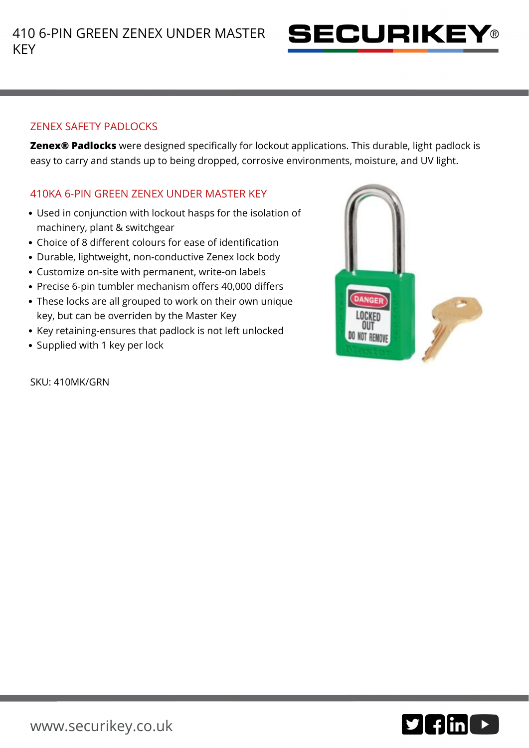

## ZENEX SAFETY PADLOCKS

**Zenex® Padlocks** were designed specifically for lockout applications. This durable, light padlock is easy to carry and stands up to being dropped, corrosive environments, moisture, and UV light.

## 410KA 6-PIN GREEN ZENEX UNDER MASTER KEY

- Used in conjunction with lockout hasps for the isolation of machinery, plant & switchgear
- Choice of 8 different colours for ease of identification
- Durable, lightweight, non-conductive Zenex lock body
- Customize on-site with permanent, write-on labels
- Precise 6-pin tumbler mechanism offers 40,000 differs
- These locks are all grouped to work on their own unique key, but can be overriden by the Master Key
- Key retaining-ensures that padlock is not left unlocked
- Supplied with 1 key per lock

**DANGER** LOCKED OUT DO NOT REMOVE

SKU: 410MK/GRN

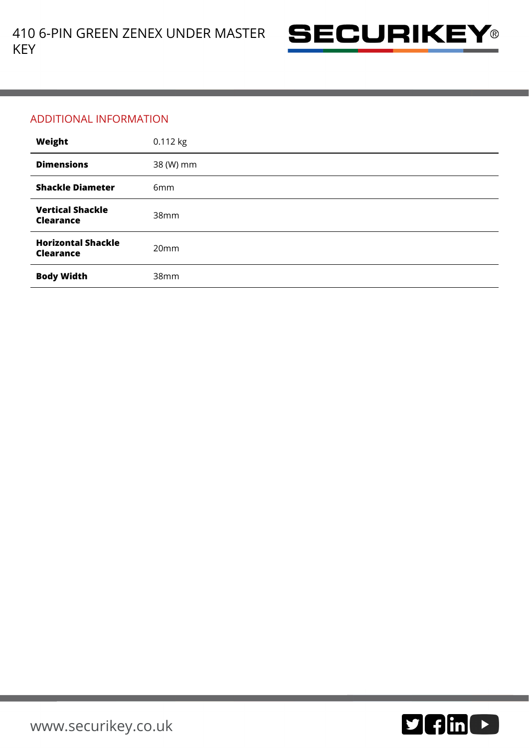

## ADDITIONAL INFORMATION

| Weight                                        | 0.112 kg         |
|-----------------------------------------------|------------------|
| <b>Dimensions</b>                             | 38 (W) mm        |
| <b>Shackle Diameter</b>                       | 6 <sub>mm</sub>  |
| <b>Vertical Shackle</b><br><b>Clearance</b>   | 38 <sub>mm</sub> |
| <b>Horizontal Shackle</b><br><b>Clearance</b> | 20mm             |
| <b>Body Width</b>                             | 38mm             |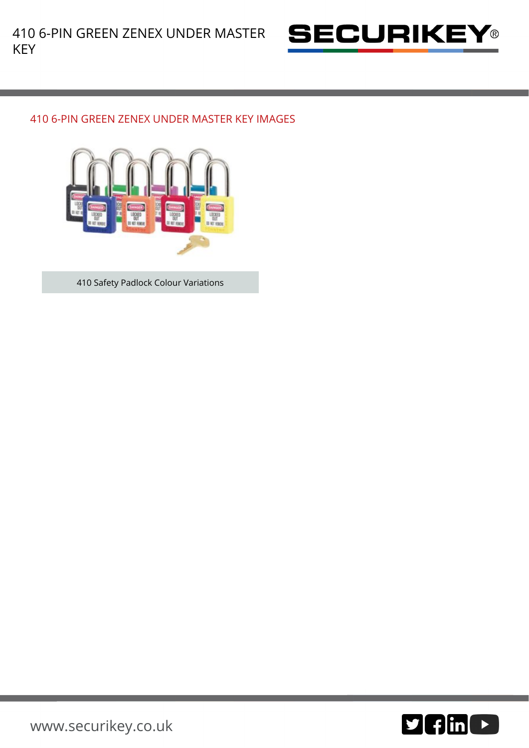

## 410 6-PIN GREEN ZENEX UNDER MASTER KEY IMAGES



410 Safety Padlock Colour Variations